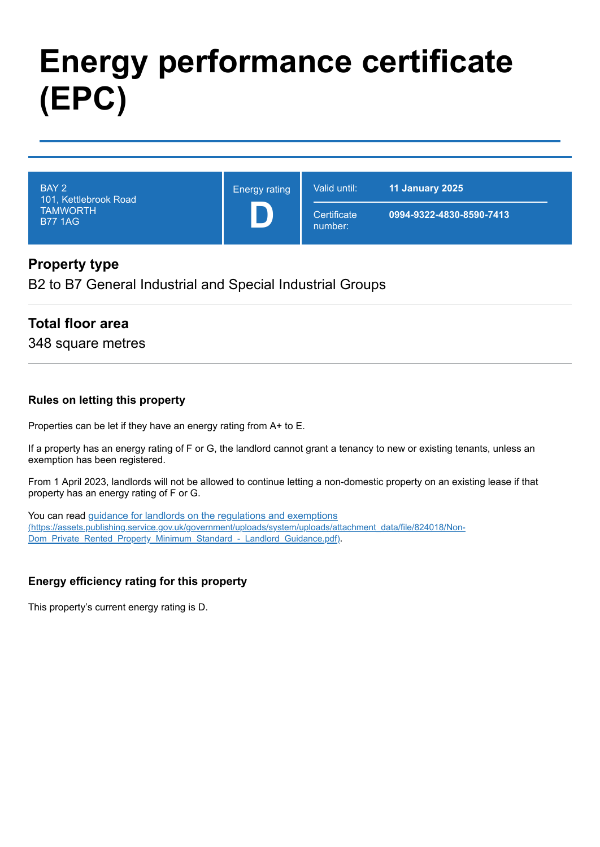# **Energy performance certificate (EPC)**

| BAY 2<br>101, Kettlebrook Road<br><b>TAMWORTH</b><br><b>B77 1AG</b> | <b>Energy rating</b> | Valid until:           | <b>11 January 2025</b>   |
|---------------------------------------------------------------------|----------------------|------------------------|--------------------------|
|                                                                     |                      | Certificate<br>number: | 0994-9322-4830-8590-7413 |

## **Property type**

B2 to B7 General Industrial and Special Industrial Groups

#### **Total floor area**

348 square metres

#### **Rules on letting this property**

Properties can be let if they have an energy rating from A+ to E.

If a property has an energy rating of F or G, the landlord cannot grant a tenancy to new or existing tenants, unless an exemption has been registered.

From 1 April 2023, landlords will not be allowed to continue letting a non-domestic property on an existing lease if that property has an energy rating of F or G.

You can read guidance for landlords on the regulations and exemptions [\(https://assets.publishing.service.gov.uk/government/uploads/system/uploads/attachment\\_data/file/824018/Non-](https://assets.publishing.service.gov.uk/government/uploads/system/uploads/attachment_data/file/824018/Non-Dom_Private_Rented_Property_Minimum_Standard_-_Landlord_Guidance.pdf)Dom\_Private\_Rented\_Property\_Minimum\_Standard\_-\_Landlord\_Guidance.pdf).

#### **Energy efficiency rating for this property**

This property's current energy rating is D.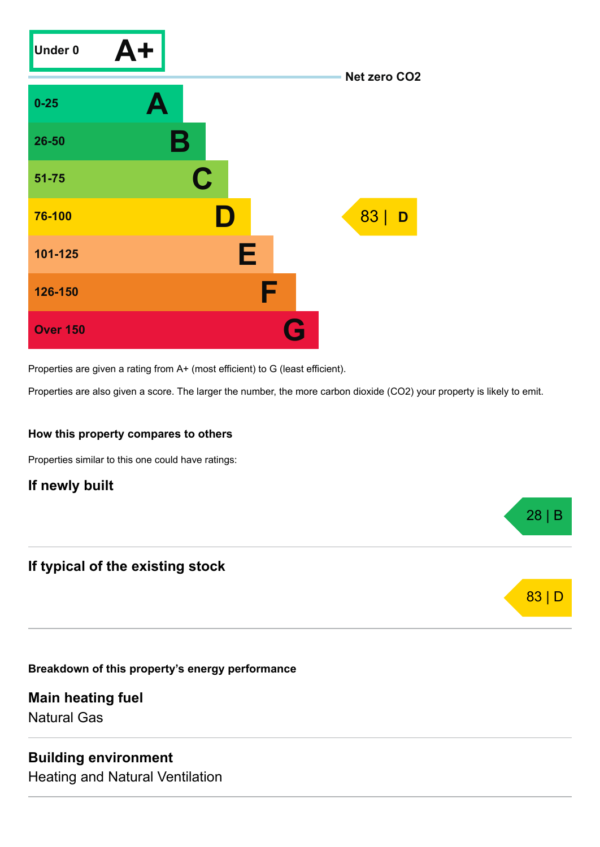

Properties are given a rating from A+ (most efficient) to G (least efficient).

Properties are also given a score. The larger the number, the more carbon dioxide (CO2) your property is likely to emit.

28 | B

83 | D

#### **How this property compares to others**

Properties similar to this one could have ratings:

## **If newly built**

## **If typical of the existing stock**

**Breakdown of this property's energy performance**

**Main heating fuel** Natural Gas

#### **Building environment**

Heating and Natural Ventilation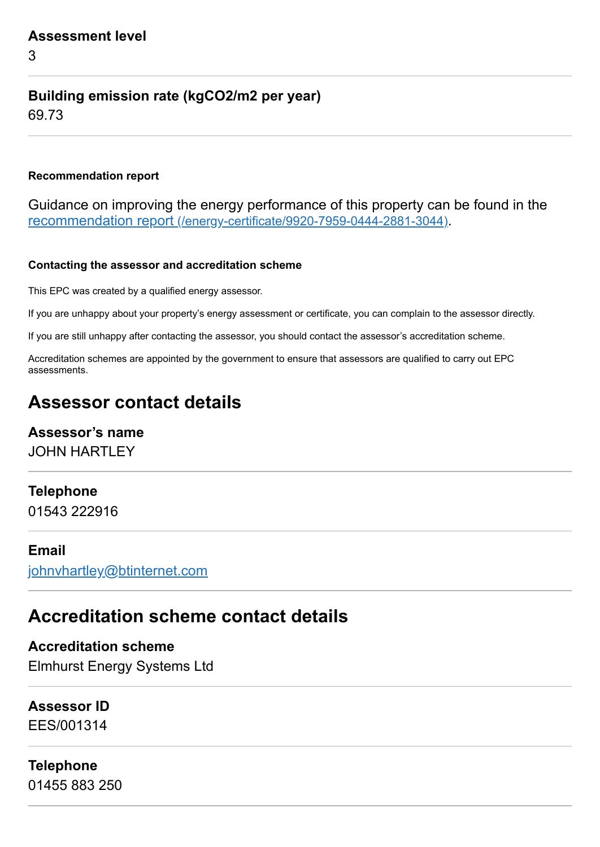3

# **Building emission rate (kgCO2/m2 per year)**

69.73

#### **Recommendation report**

Guidance on improving the energy performance of this property can be found in the recommendation report [\(/energy-certificate/9920-7959-0444-2881-3044\)](https://find-energy-certificate.service.gov.uk/energy-certificate/9920-7959-0444-2881-3044).

#### **Contacting the assessor and accreditation scheme**

This EPC was created by a qualified energy assessor.

If you are unhappy about your property's energy assessment or certificate, you can complain to the assessor directly.

If you are still unhappy after contacting the assessor, you should contact the assessor's accreditation scheme.

Accreditation schemes are appointed by the government to ensure that assessors are qualified to carry out EPC assessments.

# **Assessor contact details**

# **Assessor's name**

JOHN HARTLEY

# **Telephone**

01543 222916

#### **Email**

[johnvhartley@btinternet.com](mailto:johnvhartley@btinternet.com)

# **Accreditation scheme contact details**

**Accreditation scheme** Elmhurst Energy Systems Ltd

# **Assessor ID**

EES/001314

# **Telephone**

01455 883 250